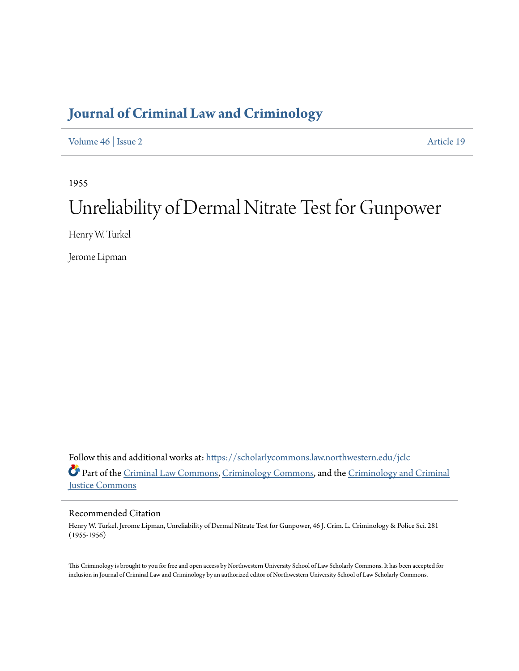## **[Journal of Criminal Law and Criminology](https://scholarlycommons.law.northwestern.edu/jclc?utm_source=scholarlycommons.law.northwestern.edu%2Fjclc%2Fvol46%2Fiss2%2F19&utm_medium=PDF&utm_campaign=PDFCoverPages)**

[Volume 46](https://scholarlycommons.law.northwestern.edu/jclc/vol46?utm_source=scholarlycommons.law.northwestern.edu%2Fjclc%2Fvol46%2Fiss2%2F19&utm_medium=PDF&utm_campaign=PDFCoverPages) | [Issue 2](https://scholarlycommons.law.northwestern.edu/jclc/vol46/iss2?utm_source=scholarlycommons.law.northwestern.edu%2Fjclc%2Fvol46%2Fiss2%2F19&utm_medium=PDF&utm_campaign=PDFCoverPages) [Article 19](https://scholarlycommons.law.northwestern.edu/jclc/vol46/iss2/19?utm_source=scholarlycommons.law.northwestern.edu%2Fjclc%2Fvol46%2Fiss2%2F19&utm_medium=PDF&utm_campaign=PDFCoverPages)

1955

# Unreliability of Dermal Nitrate Test for Gunpower

Henry W. Turkel

Jerome Lipman

Follow this and additional works at: [https://scholarlycommons.law.northwestern.edu/jclc](https://scholarlycommons.law.northwestern.edu/jclc?utm_source=scholarlycommons.law.northwestern.edu%2Fjclc%2Fvol46%2Fiss2%2F19&utm_medium=PDF&utm_campaign=PDFCoverPages) Part of the [Criminal Law Commons](http://network.bepress.com/hgg/discipline/912?utm_source=scholarlycommons.law.northwestern.edu%2Fjclc%2Fvol46%2Fiss2%2F19&utm_medium=PDF&utm_campaign=PDFCoverPages), [Criminology Commons](http://network.bepress.com/hgg/discipline/417?utm_source=scholarlycommons.law.northwestern.edu%2Fjclc%2Fvol46%2Fiss2%2F19&utm_medium=PDF&utm_campaign=PDFCoverPages), and the [Criminology and Criminal](http://network.bepress.com/hgg/discipline/367?utm_source=scholarlycommons.law.northwestern.edu%2Fjclc%2Fvol46%2Fiss2%2F19&utm_medium=PDF&utm_campaign=PDFCoverPages) [Justice Commons](http://network.bepress.com/hgg/discipline/367?utm_source=scholarlycommons.law.northwestern.edu%2Fjclc%2Fvol46%2Fiss2%2F19&utm_medium=PDF&utm_campaign=PDFCoverPages)

### Recommended Citation

Henry W. Turkel, Jerome Lipman, Unreliability of Dermal Nitrate Test for Gunpower, 46 J. Crim. L. Criminology & Police Sci. 281 (1955-1956)

This Criminology is brought to you for free and open access by Northwestern University School of Law Scholarly Commons. It has been accepted for inclusion in Journal of Criminal Law and Criminology by an authorized editor of Northwestern University School of Law Scholarly Commons.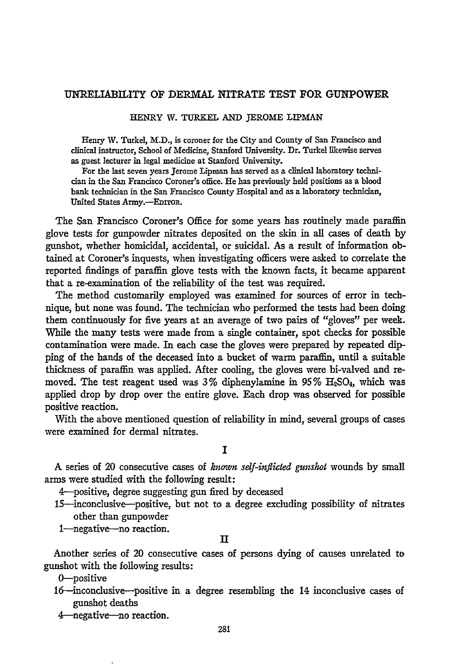#### UNRELIABILITY **OF** DERMAL NITRATE **TEST** FOR GUNPOWER

HENRY W. TURKEL **AND** JEROME LIPMAN

Henry W. Turkel, M.D., is coroner for the City and County of San Francisco and clinical instructor, School of Medicine, Stanford University. Dr. Turkel likewise serves as guest lecturer in legal medicine at Stanford University.

For the last seven years Jerome Lipman has served as a clinical laboratory technician in the San Francisco Coroner's office. He has previously held positions as a **blood** bank technician in the San Francisco County Hospital and as a laboratory technician, United States Army.-EDITOR.

The San Francisco Coroner's Office for some years has routinely made paraffin glove tests for gunpowder nitrates deposited on the skin in all cases of death **by** gunshot, whether homicidal, accidental, or suicidal. As a result of information obtained at Coroner's inquests, when investigating officers were asked to correlate the reported findings of paraffin glove tests with the known facts, it became apparent that a re-examination of the reliability of the test was required.

The method customarily employed was examined for sources of error in technique, but none was found. The technician who performed the tests had been doing them continuously for five years at an average of two pairs of "gloves" per week. While the many tests were made from a single container, spot checks for possible contamination were made. In each case the gloves were prepared **by** repeated dipping of the hands of the deceased into a bucket of warm paraffin, until a suitable thickness of paraffin was applied. After cooling, the gloves were bi-valved and removed. The test reagent used was  $3\%$  diphenylamine in  $95\%$  H<sub>2</sub>SO<sub>4</sub>, which was applied drop **by** drop over the entire glove. Each drop was observed for possible positive reaction.

With the above mentioned question of reliability in mind, several groups of cases were examined for dermal nitrates.

**I**

A series of 20 consecutive cases of *known self-inflicted gunshot* wounds by small arms were studied with the following result:

4---positive, degree suggesting gun fired by deceased

- 15-inconclusive-positive, but not to a degree excluding possibility of nitrates other than gunpowder
- 1-negative-no reaction.

#### п

Another series of 20 consecutive cases of persons dying of causes unrelated to gunshot with the following results:

0-positive

16-inconclusive-positive in a degree resembling the 14 inconclusive cases of gunshot deaths

4-negative-no reaction.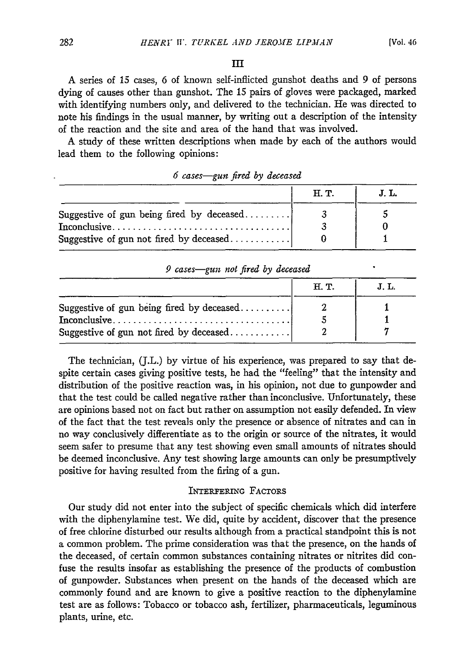#### **I**

A series of 15 cases, 6 of known self-inflicted gunshot deaths and 9 of persons dying of causes other than gunshot. The 15 pairs of gloves were packaged, marked with identifying numbers only, and delivered to the technician. He was directed to note his findings in the usual manner, by writing out a description of the intensity of the reaction and the site and area of the hand that was involved.

A study of these written descriptions when made by each of the authors would lead them to the following opinions:

|                                                                                  | H. T. | J. L. |
|----------------------------------------------------------------------------------|-------|-------|
| Suggestive of gun being fired by deceased                                        |       |       |
| $Inconclusive \dots \dots \dots \dots \dots \dots \dots \dots \dots \dots \dots$ |       |       |
| Suggestive of gun not fired by deceased                                          |       |       |

| 6 cases-gun fired by deceased |  |  |
|-------------------------------|--|--|
|                               |  |  |

| 9 cases—gun not fired by deceased                                                    |      |       |
|--------------------------------------------------------------------------------------|------|-------|
|                                                                                      | H.T. | J. L. |
| Suggestive of gun being fired by deceased<br>Suggestive of gun not fired by deceased |      |       |

The technician, (J.L.) by virtue of his experience, was prepared to say that despite certain cases giving positive tests, he had the "feeling" that the intensity and distribution of the positive reaction was, in his opinion, not due to gunpowder and that the test could be called negative rather than inconclusive. Unfortunately, these are opinions based not on fact but rather on assumption not easily defended. In view of the fact that the test reveals only the presence or absence of nitrates and can in no way conclusively differentiate as to the origin or source of the nitrates, it would seem safer to presume that any test showing even small amounts of nitrates should be deemed inconclusive. Any test showing large amounts can only be presumptively positive for having resulted from the firing of a gun.

#### INTERFERING FACTORS

Our study did not enter into the subject of specific chemicals which did interfere with the diphenylamine test. We did, quite by accident, discover that the presence of free chlorine disturbed our results although from a practical standpoint this is not a common problem. The prime consideration was that the presence, on the hands of the deceased, of certain common substances containing nitrates or nitrites did confuse the results insofar as establishing the presence of the products of combustion of gunpowder. Substances when present on the hands of the deceased which are commonly found and are known to give a positive reaction to the diphenylamine test are as follows: Tobacco or tobacco ash, fertilizer, pharmaceuticals, leguminous plants, urine, etc.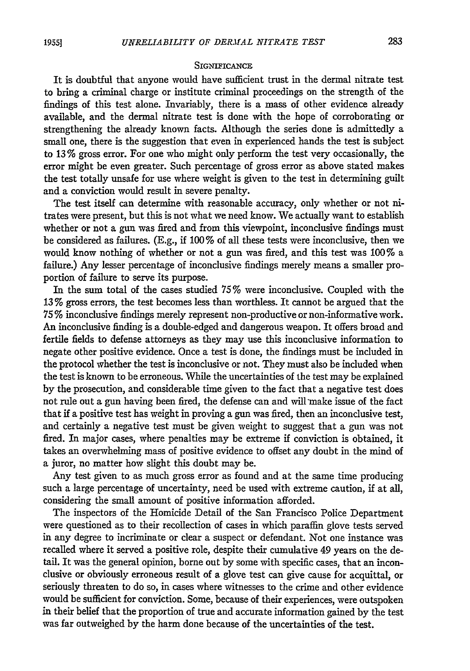#### **SIGNIFICANCE**

It is doubtful that anyone would have sufficient trust in the dermal nitrate test to bring a criminal charge or institute criminal proceedings on the strength of the findings of this test alone. Invariably, there is a mass of other evidence already available, and the dermal nitrate test is done with the hope of corroborating or strengthening the already known facts. Although the series done is admittedly a small one, there is the suggestion that even in experienced hands the test is subject to 13 % gross error. For one who might only perform the test very occasionally, the error might be even greater. Such percentage of gross error as above stated makes the test totally unsafe for use where weight is given to the test in determining guilt and a conviction would result in severe penalty.

The test itself can determine with reasonable accuracy, only whether or not nitrates were present, but this is not what we need know. We actually want to establish whether or not a gun was fired and from this viewpoint, inconclusive findings must be considered as failures. (E.g., if 100 % of all these tests were inconclusive, then we would know nothing of whether or not a gun was fired, and this test was 100% a failure.) Any lesser percentage of inconclusive findings merely means a smaller proportion of failure to serve its purpose.

In the sum total of the cases studied 75% were inconclusive. Coupled with the 13 % gross errors, the test becomes less than worthless. It cannot be argued that the **75** % inconclusive findings merely represent non-productive or non-informative work. An inconclusive finding is a double-edged and dangerous weapon. It offers broad and fertile fields to defense attorneys as they may use this inconclusive information to negate other positive evidence. Once a test is done, the findings must be included in the protocol whether the test is inconclusive or not. They must also be included when the test is known to be erroneous. While the uncertainties of the test may be explained by the prosecution, and considerable time given to the fact that a negative test does not rule out a gun having been fired, the defense can and will make issue of the fact that if a positive test has weight in proving a gun was fired, then an inconclusive test, and certainly a negative test must be given weight to suggest that a gun was not fired. In major cases, where penalties may be extreme if conviction is obtained, it takes an overwhelming mass of positive evidence to offset any doubt in the mind of a juror, no matter how slight this doubt may be.

Any test given to as much gross error as found and at the same time producing such a large percentage of uncertainty, need be used with extreme caution, if at all, considering the small amount of positive information afforded.

The inspectors of the Homicide Detail of the San Francisco Police Department were questioned as to their recollection of cases in which paraffin glove tests served in any degree to incriminate or clear a suspect or defendant. Not one instance was recalled where it served a positive role, despite their cumulative 49 years on the detail. It was the general opinion, borne out by some with specific cases, that an inconclusive or obviously erroneous result of a glove test can give cause for acquittal, or seriously threaten to do so, in cases where witnesses to the crime and other evidence would be sufficient for conviction. Some, because of their experiences, were outspoken in their belief that the proportion of true and accurate information gained by the test was far outweighed by the harm done because of the uncertainties of the test.